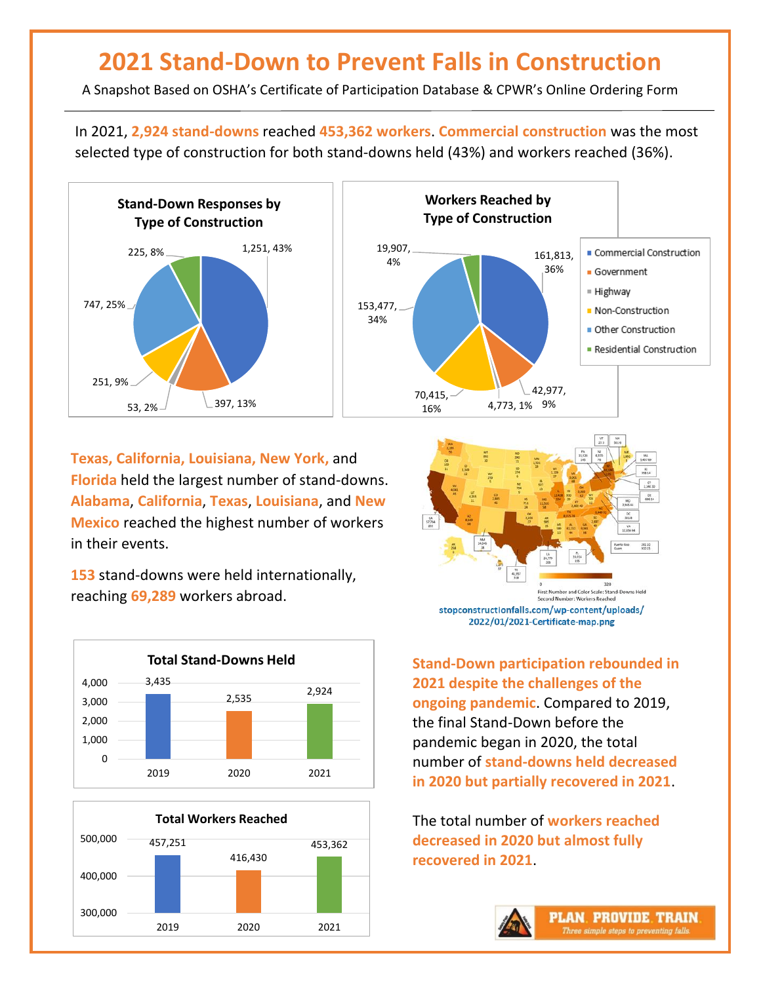## **2021 Stand-Down to Prevent Falls in Construction**

A Snapshot Based on OSHA's Certificate of Participation Database & CPWR's Online Ordering Form

In 2021, **2,924 stand-downs** reached **453,362 workers**. **Commercial construction** was the most selected type of construction for both stand-downs held (43%) and workers reached (36%).





**Texas, California, Louisiana, New York,** and **Florida** held the largest number of stand-downs. **Alabama**, **California**, **Texas**, **Louisiana**, and **New Mexico** reached the highest number of workers in their events.

**153** stand-downs were held internationally, reaching **69,289** workers abroad.







**Stand-Down participation rebounded in 2021 despite the challenges of the ongoing pandemic**. Compared to 2019, the final Stand-Down before the pandemic began in 2020, the total number of **stand-downs held decreased in 2020 but partially recovered in 2021**.

The total number of **workers reached decreased in 2020 but almost fully recovered in 2021**.